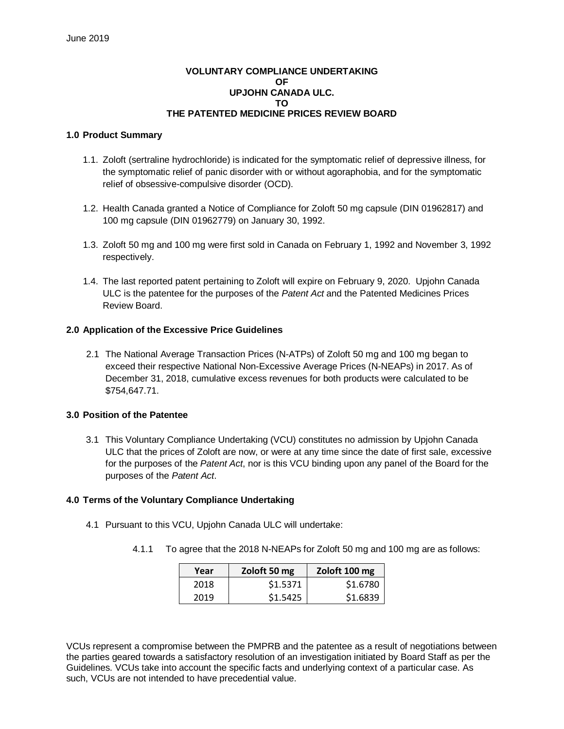# **VOLUNTARY COMPLIANCE UNDERTAKING OF UPJOHN CANADA ULC. TO THE PATENTED MEDICINE PRICES REVIEW BOARD**

#### **1.0 Product Summary**

- 1.1. Zoloft (sertraline hydrochloride) is indicated for the symptomatic relief of depressive illness, for the symptomatic relief of panic disorder with or without agoraphobia, and for the symptomatic relief of obsessive-compulsive disorder (OCD).
- 1.2. Health Canada granted a Notice of Compliance for Zoloft 50 mg capsule (DIN 01962817) and 100 mg capsule (DIN 01962779) on January 30, 1992.
- 1.3. Zoloft 50 mg and 100 mg were first sold in Canada on February 1, 1992 and November 3, 1992 respectively.
- 1.4. The last reported patent pertaining to Zoloft will expire on February 9, 2020. Upjohn Canada ULC is the patentee for the purposes of the *Patent Act* and the Patented Medicines Prices Review Board.

## **2.0 Application of the Excessive Price Guidelines**

2.1 The National Average Transaction Prices (N-ATPs) of Zoloft 50 mg and 100 mg began to exceed their respective National Non-Excessive Average Prices (N-NEAPs) in 2017. As of December 31, 2018, cumulative excess revenues for both products were calculated to be \$754,647.71.

## **3.0 Position of the Patentee**

3.1 This Voluntary Compliance Undertaking (VCU) constitutes no admission by Upjohn Canada ULC that the prices of Zoloft are now, or were at any time since the date of first sale, excessive for the purposes of the *Patent Act*, nor is this VCU binding upon any panel of the Board for the purposes of the *Patent Act*.

#### **4.0 Terms of the Voluntary Compliance Undertaking**

- 4.1 Pursuant to this VCU, Upjohn Canada ULC will undertake:
	- 4.1.1 To agree that the 2018 N-NEAPs for Zoloft 50 mg and 100 mg are as follows:

| Year | Zoloft 50 mg | Zoloft 100 mg |
|------|--------------|---------------|
| 2018 | \$1.5371     | \$1.6780      |
| 2019 | \$1.5425     | \$1.6839      |

VCUs represent a compromise between the PMPRB and the patentee as a result of negotiations between the parties geared towards a satisfactory resolution of an investigation initiated by Board Staff as per the Guidelines. VCUs take into account the specific facts and underlying context of a particular case. As such, VCUs are not intended to have precedential value.